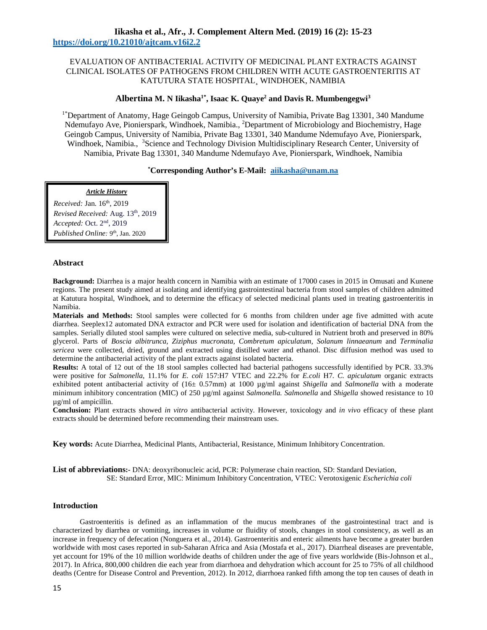# **Iikasha et al., Afr., J. Complement Altern Med. (2019) 16 (2): 15-23 https://doi.org/10.21010/ajtcam.v16i2.2**

# EVALUATION OF ANTIBACTERIAL ACTIVITY OF MEDICINAL PLANT EXTRACTS AGAINST CLINICAL ISOLATES OF PATHOGENS FROM CHILDREN WITH ACUTE GASTROENTERITIS AT KATUTURA STATE HOSPITAL¸ WINDHOEK, NAMIBIA

# **Albertina M. N Iikasha1\*, Isaac K. Quaye<sup>2</sup> and Davis R. Mumbengegwi<sup>3</sup>**

<sup>1\*</sup>Department of Anatomy, Hage Geingob Campus, University of Namibia, Private Bag 13301, 340 Mandume Ndemufayo Ave, Pionierspark, Windhoek, Namibia., <sup>2</sup>Department of Microbiology and Biochemistry, Hage Geingob Campus, University of Namibia, Private Bag 13301, 340 Mandume Ndemufayo Ave, Pionierspark, Windhoek, Namibia., <sup>3</sup>Science and Technology Division Multidisciplinary Research Center, University of Namibia, Private Bag 13301, 340 Mandume Ndemufayo Ave, Pionierspark, Windhoek, Namibia

## **\*Corresponding Author's E-Mail: aiikasha@unam.na**

### *Article History*

**l**  *Accepted:* Oct. 2nd, 2019 *Received:* Jan. 16th, 2019 *Revised Received:* Aug. 13th, 2019 Published Online: 9<sup>th</sup>, Jan. 2020

## **Abstract**

**Background:** Diarrhea is a major health concern in Namibia with an estimate of 17000 cases in 2015 in Omusati and Kunene regions. The present study aimed at isolating and identifying gastrointestinal bacteria from stool samples of children admitted at Katutura hospital, Windhoek, and to determine the efficacy of selected medicinal plants used in treating gastroenteritis in Namibia.

**Materials and Methods:** Stool samples were collected for 6 months from children under age five admitted with acute diarrhea. Seeplex12 automated DNA extractor and PCR were used for isolation and identification of bacterial DNA from the samples. Serially diluted stool samples were cultured on selective media, sub-cultured in Nutrient broth and preserved in 80% glycerol. Parts of *Boscia albitrunca, Ziziphus mucronata, Combretum apiculatum, Solanum linnaeanum* and *Terminalia sericea* were collected, dried, ground and extracted using distilled water and ethanol. Disc diffusion method was used to determine the antibacterial activity of the plant extracts against isolated bacteria.

**Results:** A total of 12 out of the 18 stool samples collected had bacterial pathogens successfully identified by PCR. 33.3% were positive for *Salmonella*, 11.1% for *E. coli* 157:H7 VTEC and 22.2% for *E.coli* H7*. C. apiculatum* organic extracts exhibited potent antibacterial activity of (16± 0.57mm) at 1000 µg/ml against *Shigella* and *Salmonella* with a moderate minimum inhibitory concentration (MIC) of 250  $\mu$ g/ml against *Salmonella*. Salmonella and *Shigella* showed resistance to 10 µg/ml of ampicillin.

**Conclusion:** Plant extracts showed *in vitro* antibacterial activity. However, toxicology and *in vivo* efficacy of these plant extracts should be determined before recommending their mainstream uses.

**Key words:** Acute Diarrhea, Medicinal Plants, Antibacterial, Resistance, Minimum Inhibitory Concentration.

**List of abbreviations:-** DNA: deoxyribonucleic acid, PCR: Polymerase chain reaction, SD: Standard Deviation, SE: Standard Error, MIC: Minimum Inhibitory Concentration, VTEC: Verotoxigenic *Escherichia coli*

## **Introduction**

Gastroenteritis is defined as an inflammation of the mucus membranes of the gastrointestinal tract and is characterized by diarrhea or vomiting, increases in volume or fluidity of stools, changes in stool consistency, as well as an increase in frequency of defecation (Nonguera et al., 2014). Gastroenteritis and enteric ailments have become a greater burden worldwide with most cases reported in sub-Saharan Africa and Asia (Mostafa et al., 2017). Diarrheal diseases are preventable, yet account for 19% of the 10 million worldwide deaths of children under the age of five years worldwide (Bis-Johnson et al., 2017). In Africa, 800,000 children die each year from diarrhoea and dehydration which account for 25 to 75% of all childhood deaths (Centre for Disease Control and Prevention, 2012). In 2012, diarrhoea ranked fifth among the top ten causes of death in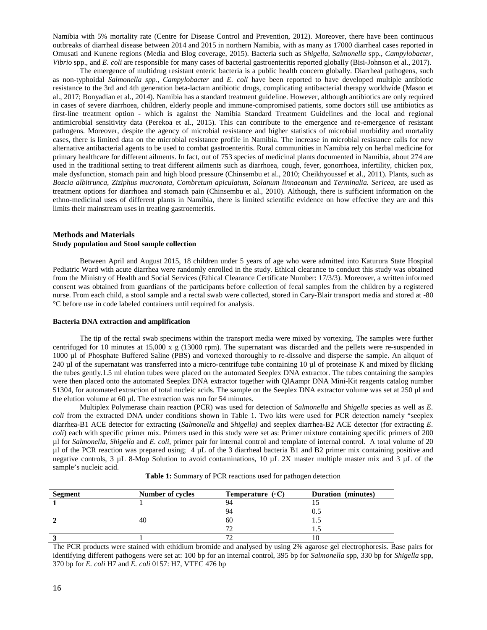Namibia with 5% mortality rate (Centre for Disease Control and Prevention, 2012). Moreover, there have been continuous outbreaks of diarrheal disease between 2014 and 2015 in northern Namibia, with as many as 17000 diarrheal cases reported in Omusati and Kunene regions (Media and Blog coverage, 2015). Bacteria such as *Shigella, Salmonella* spp., *Campylobacter, Vibrio* spp., and *E. coli* are responsible for many cases of bacterial gastroenteritis reported globally (Bisi-Johnson et al., 2017).

The emergence of multidrug resistant enteric bacteria is a public health concern globally. Diarrheal pathogens, such as non-typhoidal *Salmonella spp., Campylobacter* and *E. coli* have been reported to have developed multiple antibiotic resistance to the 3rd and 4th generation beta-lactam antibiotic drugs, complicating antibacterial therapy worldwide (Mason et al., 2017; Bonyadian et al., 2014). Namibia has a standard treatment guideline. However, although antibiotics are only required in cases of severe diarrhoea, children, elderly people and immune-compromised patients, some doctors still use antibiotics as first-line treatment option - which is against the Namibia Standard Treatment Guidelines and the local and regional antimicrobial sensitivity data (Perekoa et al., 2015). This can contribute to the emergence and re-emergence of resistant pathogens. Moreover, despite the agency of microbial resistance and higher statistics of microbial morbidity and mortality cases, there is limited data on the microbial resistance profile in Namibia. The increase in microbial resistance calls for new alternative antibacterial agents to be used to combat gastroenteritis. Rural communities in Namibia rely on herbal medicine for primary healthcare for different ailments. In fact, out of 753 species of medicinal plants documented in Namibia, about 274 are used in the traditional setting to treat different ailments such as diarrhoea, cough, fever, gonorrhoea, infertility, chicken pox, male dysfunction, stomach pain and high blood pressure (Chinsembu et al., 2010; Cheikhyoussef et al., 2011). Plants, such as *Boscia albitrunca, Ziziphus mucronata, Combretum apiculatum, Solanum linnaeanum* and *Terminalia. Sericea*, are used as treatment options for diarrhoea and stomach pain (Chinsembu et al., 2010). Although, there is sufficient information on the ethno-medicinal uses of different plants in Namibia, there is limited scientific evidence on how effective they are and this limits their mainstream uses in treating gastroenteritis.

### **Methods and Materials Study population and Stool sample collection**

Between April and August 2015, 18 children under 5 years of age who were admitted into Katurura State Hospital Pediatric Ward with acute diarrhea were randomly enrolled in the study. Ethical clearance to conduct this study was obtained from the Ministry of Health and Social Services (Ethical Clearance Certificate Number: 17/3/3). Moreover, a written informed consent was obtained from guardians of the participants before collection of fecal samples from the children by a registered nurse. From each child, a stool sample and a rectal swab were collected, stored in Cary-Blair transport media and stored at -80 °C before use in code labeled containers until required for analysis.

### **Bacteria DNA extraction and amplification**

The tip of the rectal swab specimens within the transport media were mixed by vortexing. The samples were further centrifuged for 10 minutes at 15,000 x g (13000 rpm). The supernatant was discarded and the pellets were re-suspended in 1000 µl of Phosphate Buffered Saline (PBS) and vortexed thoroughly to re-dissolve and disperse the sample. An aliquot of 240 µl of the supernatant was transferred into a micro-centrifuge tube containing 10 µl of proteinase K and mixed by flicking the tubes gently.1.5 ml elution tubes were placed on the automated Seeplex DNA extractor. The tubes containing the samples were then placed onto the automated Seeplex DNA extractor together with QIAampr DNA Mini-Kit reagents catalog number 51304, for automated extraction of total nucleic acids. The sample on the Seeplex DNA extractor volume was set at 250 µl and the elution volume at  $60 \mu l$ . The extraction was run for 54 minutes.

Multiplex Polymerase chain reaction (PCR) was used for detection of *Salmonella* and *Shigella* species as well as *E. coli* from the extracted DNA under conditions shown in Table 1. Two kits were used for PCR detection namely "seeplex diarrhea-B1 ACE detector for extracting (*Salmonella* and *Shigella)* and seeplex diarrhea-B2 ACE detector (for extracting *E. coli*) each with specific primer mix. Primers used in this study were set as: Primer mixture containing specific primers of 200 µl for *Salmonella*, *Shigella* and *E. coli*, primer pair for internal control and template of internal control. A total volume of 20 µl of the PCR reaction was prepared using;  $4 \mu L$  of the 3 diarrheal bacteria B1 and B2 primer mix containing positive and negative controls, 3  $\mu$ L 8-Mop Solution to avoid contaminations, 10  $\mu$ L 2X master multiple master mix and 3  $\mu$ L of the sample's nucleic acid.

|  |  | Table 1: Summary of PCR reactions used for pathogen detection |  |  |  |  |  |
|--|--|---------------------------------------------------------------|--|--|--|--|--|
|--|--|---------------------------------------------------------------|--|--|--|--|--|

| Segment | Number of cycles | Temperature $(\circ C)$ | <b>Duration</b> (minutes) |
|---------|------------------|-------------------------|---------------------------|
|         |                  | 94                      |                           |
|         |                  | 94                      |                           |
|         | 40               | 60                      |                           |
|         |                  | $7^{\circ}$             |                           |
|         |                  |                         |                           |

The PCR products were stained with ethidium bromide and analysed by using 2% agarose gel electrophoresis. Base pairs for identifying different pathogens were set at: 100 bp for an internal control, 395 bp for *Salmonella* spp, 330 bp for *Shigella* spp, 370 bp for *E. coli* H7 and *E. coli* 0157: H7, VTEC 476 bp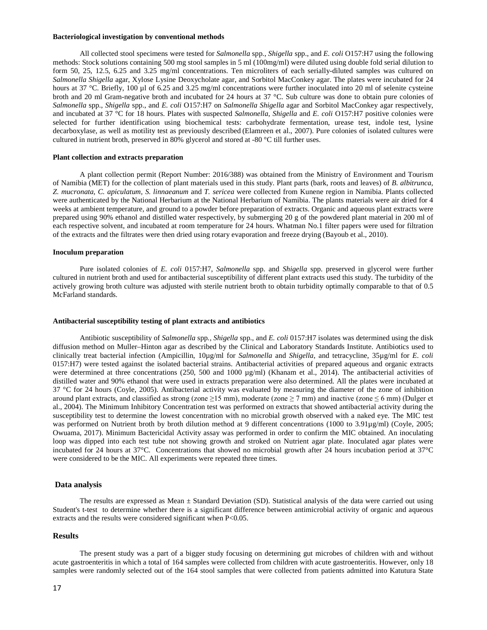#### **Bacteriological investigation by conventional methods**

All collected stool specimens were tested for *Salmonella* spp., *Shigella* spp., and *E. coli* O157:H7 using the following methods: Stock solutions containing 500 mg stool samples in 5 ml (100mg/ml) were diluted using double fold serial dilution to form 50, 25, 12.5, 6.25 and 3.25 mg/ml concentrations. Ten microliters of each serially-diluted samples was cultured on *Salmonella Shigella* agar, Xylose Lysine Deoxycholate agar, and Sorbitol MacConkey agar. The plates were incubated for 24 hours at 37 °C. Briefly, 100 µl of 6.25 and 3.25 mg/ml concentrations were further inoculated into 20 ml of selenite cysteine broth and 20 ml Gram-negative broth and incubated for 24 hours at 37 °C. Sub culture was done to obtain pure colonies of *Salmonella* spp., *Shigella* spp., and *E. coli* O157:H7 on *Salmonella Shigella* agar and Sorbitol MacConkey agar respectively, and incubated at 37 °C for 18 hours. Plates with suspected *Salmonella*, *Shigella* and *E. coli* O157:H7 positive colonies were selected for further identification using biochemical tests: carbohydrate fermentation, urease test, indole test, lysine decarboxylase, as well as motility test as previously described (Elamreen et al., 2007). Pure colonies of isolated cultures were cultured in nutrient broth, preserved in 80% glycerol and stored at -80 °C till further uses.

### **Plant collection and extracts preparation**

A plant collection permit (Report Number: 2016/388) was obtained from the Ministry of Environment and Tourism of Namibia (MET) for the collection of plant materials used in this study. Plant parts (bark, roots and leaves) of *B. albitrunca, Z. mucronata, C. apiculatum, S. linnaeanum* and *T. sericea* were collected from Kunene region in Namibia. Plants collected were authenticated by the National Herbarium at the National Herbarium of Namibia. The plants materials were air dried for 4 weeks at ambient temperature, and ground to a powder before preparation of extracts. Organic and aqueous plant extracts were prepared using 90% ethanol and distilled water respectively, by submerging 20 g of the powdered plant material in 200 ml of each respective solvent, and incubated at room temperature for 24 hours. Whatman No.1 filter papers were used for filtration of the extracts and the filtrates were then dried using rotary evaporation and freeze drying (Bayoub et al., 2010).

#### **Inoculum preparation**

Pure isolated colonies of *E. coli* 0157:H7, *Salmonella* spp. and *Shigella* spp. preserved in glycerol were further cultured in nutrient broth and used for antibacterial susceptibility of different plant extracts used this study. The turbidity of the actively growing broth culture was adjusted with sterile nutrient broth to obtain turbidity optimally comparable to that of 0.5 McFarland standards.

### **Antibacterial susceptibility testing of plant extracts and antibiotics**

Antibiotic susceptibility of *Salmonella* spp*., Shigella* spp., and *E. coli* 0157:H7 isolates was determined using the disk diffusion method on Muller–Hinton agar as described by the Clinical and Laboratory Standards Institute. Antibiotics used to clinically treat bacterial infection (Ampicillin, 10µg/ml for *Salmonella* and *Shigella*, and tetracycline, 35µg/ml for *E. coli*  0157:H7) were tested against the isolated bacterial strains. Antibacterial activities of prepared aqueous and organic extracts were determined at three concentrations (250, 500 and 1000 µg/ml) (Khanam et al., 2014). The antibacterial activities of distilled water and 90% ethanol that were used in extracts preparation were also determined. All the plates were incubated at 37 °C for 24 hours (Coyle, 2005). Antibacterial activity was evaluated by measuring the diameter of the zone of inhibition around plant extracts, and classified as strong (zone  $\geq$  15 mm), moderate (zone  $\geq$  7 mm) and inactive (zone  $\leq$  6 mm) (Dulger et al., 2004). The Minimum Inhibitory Concentration test was performed on extracts that showed antibacterial activity during the susceptibility test to determine the lowest concentration with no microbial growth observed with a naked eye. The MIC test was performed on Nutrient broth by broth dilution method at 9 different concentrations (1000 to 3.91µg/ml) (Coyle, 2005; Owuama, 2017). Minimum Bactericidal Activity assay was performed in order to confirm the MIC obtained. An inoculating loop was dipped into each test tube not showing growth and stroked on Nutrient agar plate. Inoculated agar plates were incubated for 24 hours at 37°C. Concentrations that showed no microbial growth after 24 hours incubation period at 37°C were considered to be the MIC. All experiments were repeated three times.

### **Data analysis**

The results are expressed as Mean ± Standard Deviation (SD). Statistical analysis of the data were carried out using Student's t-test to determine whether there is a significant difference between antimicrobial activity of organic and aqueous extracts and the results were considered significant when  $P<0.05$ .

## **Results**

The present study was a part of a bigger study focusing on determining gut microbes of children with and without acute gastroenteritis in which a total of 164 samples were collected from children with acute gastroenteritis. However, only 18 samples were randomly selected out of the 164 stool samples that were collected from patients admitted into Katutura State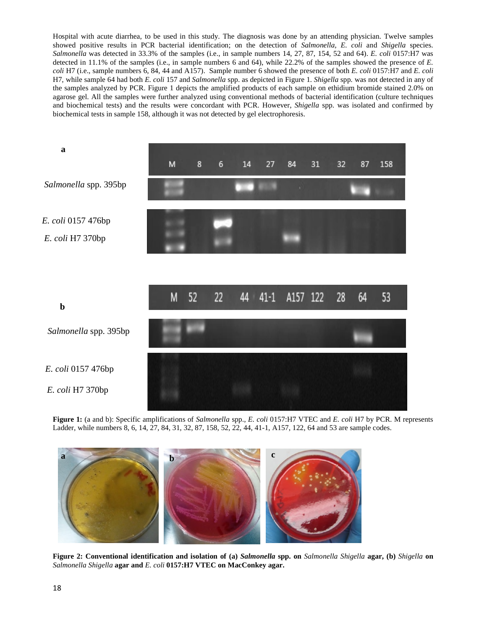Hospital with acute diarrhea, to be used in this study. The diagnosis was done by an attending physician. Twelve samples showed positive results in PCR bacterial identification; on the detection of *Salmonella, E. coli* and *Shigella* species. *Salmonella* was detected in 33.3% of the samples (i.e., in sample numbers 14, 27, 87, 154, 52 and 64). *E. coli* 0157:H7 was detected in 11.1% of the samples (i.e., in sample numbers 6 and 64), while 22.2% of the samples showed the presence of *E. coli* H7 (i.e., sample numbers 6, 84, 44 and A157). Sample number 6 showed the presence of both *E. coli* 0157:H7 and *E. coli* H7, while sample 64 had both *E. coli* 157 and *Salmonella* spp. as depicted in Figure 1. *Shigella* spp. was not detected in any of the samples analyzed by PCR. Figure 1 depicts the amplified products of each sample on ethidium bromide stained 2.0% on agarose gel. All the samples were further analyzed using conventional methods of bacterial identification (culture techniques and biochemical tests) and the results were concordant with PCR. However, *Shigella* spp. was isolated and confirmed by biochemical tests in sample 158, although it was not detected by gel electrophoresis.



**Figure 1:** (a and b): Specific amplifications of *Salmonella* spp., *E. coli* 0157:H7 VTEC and *E. coli* H7 by PCR. M represents Ladder, while numbers 8, 6, 14, 27, 84, 31, 32, 87, 158, 52, 22, 44, 41-1, A157, 122, 64 and 53 are sample codes.



**Figure 2: Conventional identification and isolation of (a)** *Salmonella* **spp. on** *Salmonella Shigella* **agar, (b)** *Shigella* **on**  *Salmonella Shigella* **agar and** *E. coli* **0157:H7 VTEC on MacConkey agar.**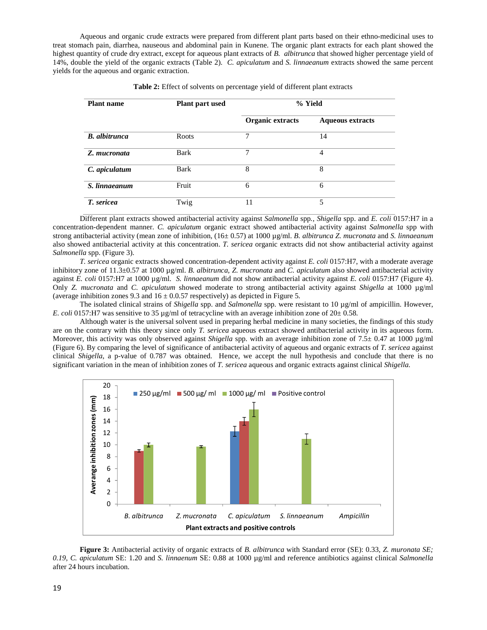Aqueous and organic crude extracts were prepared from different plant parts based on their ethno-medicinal uses to treat stomach pain, diarrhea, nauseous and abdominal pain in Kunene. The organic plant extracts for each plant showed the highest quantity of crude dry extract, except for aqueous plant extracts of *B. albitrunca* that showed higher percentage yield of 14%, double the yield of the organic extracts (Table 2). *C. apiculatum* and *S. linnaeanum* extracts showed the same percent yields for the aqueous and organic extraction.

| <b>Plant name</b>    | Plant part used | % Yield          |                         |  |
|----------------------|-----------------|------------------|-------------------------|--|
|                      |                 | Organic extracts | <b>Aqueous extracts</b> |  |
| <b>B.</b> albitrunca | Roots           | 7                | 14                      |  |
| Z. mucronata         | Bark            | 7                | 4                       |  |
| C. apiculatum        | Bark            | 8                | 8                       |  |
| S. linnaeanum        | Fruit           | 6                | 6                       |  |
| T. sericea           | Twig            | 11               | 5                       |  |

Different plant extracts showed antibacterial activity against *Salmonella* spp*., Shigella* spp. and *E. coli* 0157:H7 in a concentration-dependent manner. *C. apiculatum* organic extract showed antibacterial activity against *Salmonella* spp with strong antibacterial activity (mean zone of inhibition, (16± 0.57) at 1000 µg/ml. *B. albitrunca Z. mucronata* and *S. linnaeanum*  also showed antibacterial activity at this concentration. *T. sericea* organic extracts did not show antibacterial activity against *Salmonella* spp. (Figure 3).

*T. sericea* organic extracts showed concentration-dependent activity against *E. coli* 0157:H7, with a moderate average inhibitory zone of 11.3±0.57 at 1000 µg/ml. *B. albitrunca, Z. mucronata* and *C. apiculatum* also showed antibacterial activity against *E. coli* 0157:H7 at 1000  $\mu$ g/ml. *S. linnaeanum* did not show antibacterial activity against *E. coli* 0157:H7 (Figure 4). Only *Z. mucronata* and *C. apiculatum* showed moderate to strong antibacterial activity against *Shigella* at 1000 µg/ml (average inhibition zones 9.3 and  $16 \pm 0.0.57$  respectively) as depicted in Figure 5.

The isolated clinical strains of *Shigella* spp. and *Salmonella* spp. were resistant to 10 µg/ml of ampicillin. However, *E. coli* 0157:H7 was sensitive to 35  $\mu$ g/ml of tetracycline with an average inhibition zone of 20 $\pm$  0.58.

Although water is the universal solvent used in preparing herbal medicine in many societies, the findings of this study are on the contrary with this theory since only *T. sericea* aqueous extract showed antibacterial activity in its aqueous form. Moreover, this activity was only observed against *Shigella* spp. with an average inhibition zone of 7.5± 0.47 at 1000 µg/ml (Figure 6). By comparing the level of significance of antibacterial activity of aqueous and organic extracts of *T. sericea* against clinical *Shigella*, a p-value of 0.787 was obtained. Hence, we accept the null hypothesis and conclude that there is no significant variation in the mean of inhibition zones of *T. sericea* aqueous and organic extracts against clinical *Shigella*.



**Figure 3:** Antibacterial activity of organic extracts of *B. albitrunca* with Standard error (SE): 0.33*, Z. muronata SE; 0.19, C. apiculatum* SE: 1.20 and *S. linnaenum* SE: 0.88 at 1000 µg/ml and reference antibiotics against clinical *Salmonella* after 24 hours incubation.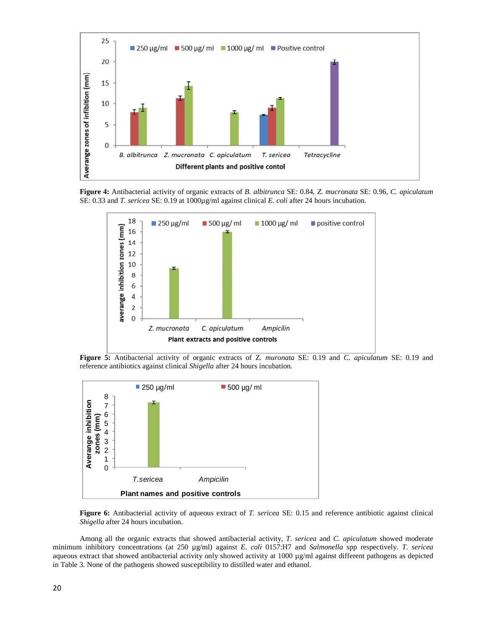

**Figure 4:** Antibacterial activity of organic extracts of *B. albitrunca* SE: 0.84*, Z. mucronata* SE: 0.96*, C. apiculatum* SE: 0.33 and *T. sericea* SE: 0.19 at 1000µg/ml against clinical *E. coli* after 24 hours incubation.



**Figure 5:** Antibacterial activity of organic extracts of Z*. muronata* SE: 0.19 and *C. apiculatum* SE: 0.19 and reference antibiotics against clinical *Shigella* after 24 hours incubation.



**Figure 6:** Antibacterial activity of aqueous extract of *T. sericea* SE: 0.15 and reference antibiotic against clinical *Shigella* after 24 hours incubation.

Among all the organic extracts that showed antibacterial activity, *T*. *sericea* and *C. apiculatum* showed moderate minimum inhibitory concentrations (at 250 µg/ml) against *E. coli* 0157:H7 and *Salmonella* spp respectively. *T*. *sericea* aqueous extract that showed antibacterial activity only showed activity at 1000 µg/ml against different pathogens as depicted in Table 3. None of the pathogens showed susceptibility to distilled water and ethanol.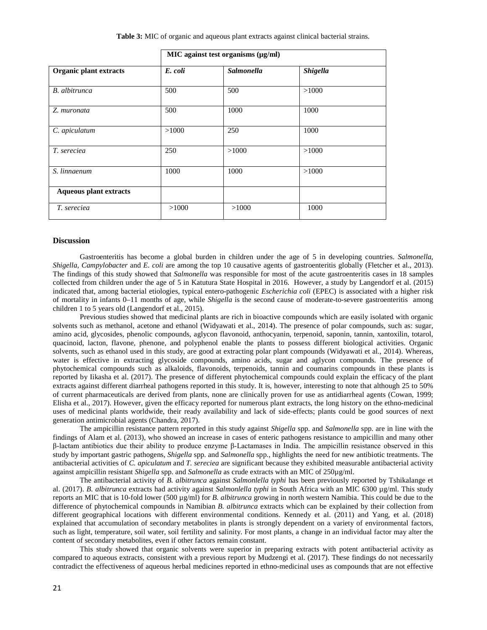**Table 3:** MIC of organic and aqueous plant extracts against clinical bacterial strains.

|                               | MIC against test organisms (µg/ml) |                   |          |  |  |
|-------------------------------|------------------------------------|-------------------|----------|--|--|
| Organic plant extracts        | E. coli                            | <b>Salmonella</b> | Shigella |  |  |
| <b>B.</b> albitrunca          | 500                                | 500               | >1000    |  |  |
| Z. muronata                   | 500                                | 1000              | 1000     |  |  |
| C. apiculatum                 | >1000                              | 250               | 1000     |  |  |
| T. sereciea                   | 250                                | >1000             | >1000    |  |  |
| S. linnaenum                  | 1000                               | 1000              | >1000    |  |  |
| <b>Aqueous plant extracts</b> |                                    |                   |          |  |  |
| T. sereciea                   | >1000                              | >1000             | 1000     |  |  |

**Discussion** 

Gastroenteritis has become a global burden in children under the age of 5 in developing countries. *Salmonella, Shigella, Campylobacter* and *E. coli* are among the top 10 causative agents of gastroenteritis globally (Fletcher et al., 2013). The findings of this study showed that *Salmonella* was responsible for most of the acute gastroenteritis cases in 18 samples collected from children under the age of 5 in Katutura State Hospital in 2016. However, a study by Langendorf et al. (2015) indicated that, among bacterial etiologies, typical entero-pathogenic *Escherichia coli* (EPEC) is associated with a higher risk of mortality in infants 0–11 months of age, while *Shigella* is the second cause of moderate-to-severe gastroenteritis among children 1 to 5 years old (Langendorf et al., 2015).

Previous studies showed that medicinal plants are rich in bioactive compounds which are easily isolated with organic solvents such as methanol, acetone and ethanol (Widyawati et al., 2014). The presence of polar compounds, such as: sugar, amino acid, glycosides, phenolic compounds, aglycon flavonoid, anthocyanin, terpenoid, saponin, tannin, xantoxilin, totarol, quacinoid, lacton, flavone, phenone, and polyphenol enable the plants to possess different biological activities. Organic solvents, such as ethanol used in this study, are good at extracting polar plant compounds (Widyawati et al., 2014). Whereas, water is effective in extracting glycoside compounds, amino acids, sugar and aglycon compounds. The presence of phytochemical compounds such as alkaloids, flavonoids, terpenoids, tannin and coumarins compounds in these plants is reported by Iikasha et al. (2017). The presence of different phytochemical compounds could explain the efficacy of the plant extracts against different diarrheal pathogens reported in this study. It is, however, interesting to note that although 25 to 50% of current pharmaceuticals are derived from plants, none are clinically proven for use as antidiarrheal agents (Cowan, 1999; Elisha et al., 2017). However, given the efficacy reported for numerous plant extracts, the long history on the ethno-medicinal uses of medicinal plants worldwide, their ready availability and lack of side-effects; plants could be good sources of next generation antimicrobial agents (Chandra, 2017).

The ampicillin resistance pattern reported in this study against *Shigella* spp. and *Salmonella* spp. are in line with the findings of Alam et al. (2013), who showed an increase in cases of enteric pathogens resistance to ampicillin and many other β-lactam antibiotics due their ability to produce enzyme β-Lactamases in India. The ampicillin resistance observed in this study by important gastric pathogens, *Shigella* spp. and *Salmonella* spp., highlights the need for new antibiotic treatments. The antibacterial activities of *C. apiculatum* and *T. sereciea* are significant because they exhibited measurable antibacterial activity against ampicillin resistant *Shigella* spp. and *Salmonella* as crude extracts with an MIC of 250µg/ml.

The antibacterial activity of *B. albitrunca* against *Salmonlella typhi* has been previously reported by Tshikalange et al. (2017). *B. albitrunca* extracts had activity against *Salmonlella typhi* in South Africa with an MIC 6300 µg/ml. This study reports an MIC that is 10-fold lower (500 µg/ml) for *B. albitrunca* growing in north western Namibia. This could be due to the difference of phytochemical compounds in Namibian *B. albitrunca* extracts which can be explained by their collection from different geographical locations with different environmental conditions. Kennedy et al. (2011) and Yang, et al. (2018) explained that accumulation of secondary metabolites in plants is strongly dependent on a variety of environmental factors, such as light, temperature, soil water, soil fertility and salinity. For most plants, a change in an individual factor may alter the content of secondary metabolites, even if other factors remain constant.

This study showed that organic solvents were superior in preparing extracts with potent antibacterial activity as compared to aqueous extracts, consistent with a previous report by Mudzengi et al. (2017). These findings do not necessarily contradict the effectiveness of aqueous herbal medicines reported in ethno-medicinal uses as compounds that are not effective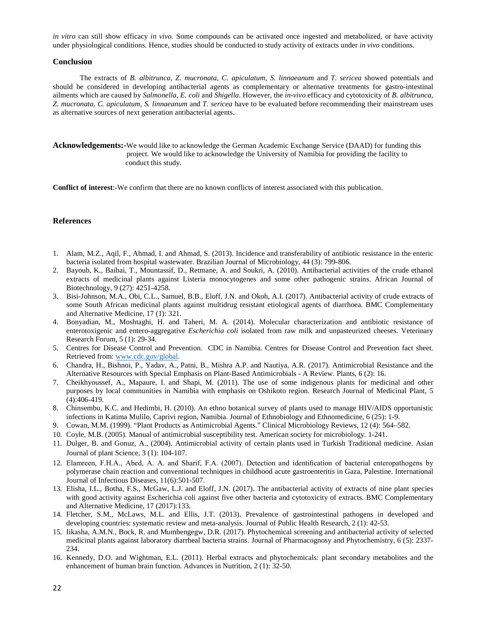*in vitro* can still show efficacy *in vivo.* Some compounds can be activated once ingested and metabolized, or have activity under physiological conditions. Hence, studies should be conducted to study activity of extracts under *in vivo* conditions.

## **Conclusion**

The extracts of *B. albitrunca, Z. mucronata, C. apiculatum, S. linnaeanum* and *T. sericea* showed potentials and should be considered in developing antibacterial agents as complementary or alternative treatments for gastro-intestinal ailments which are caused by *Salmonella*, *E. coli* and *Shigella*. However, the *in-vivo* efficacy and cytotoxicity of *B. albitrunca, Z. mucronata, C. apiculatum, S. linnaeanum* and *T. sericea* have to be evaluated before recommending their mainstream uses as alternative sources of next generation antibacterial agents.

**Acknowledgements:-**We would like to acknowledge the German Academic Exchange Service (DAAD) for funding this project. We would like to acknowledge the University of Namibia for providing the facility to conduct this study.

**Conflict of interest**:-We confirm that there are no known conflicts of interest associated with this publication.

## **References**

- 1. Alam, M.Z., Aqil, F., Ahmad, I. and Ahmad, S. (2013). Incidence and transferability of antibiotic resistance in the enteric bacteria isolated from hospital wastewater. Brazilian Journal of Microbiology, 44 (3): 799-806.
- 2. Bayoub, K., Baibai, T., Mountassif, D., Retmane, A. and Soukri, A. (2010). Antibacterial activities of the crude ethanol extracts of medicinal plants against Listeria monocytogenes and some other pathogenic strains. African Journal of Biotechnology, 9 (27): 4251-4258.
- 3. Bisi-Johnson, M.A., Obi, C.L., Samuel, B.B., Eloff, J.N. and Okoh, A.I. (2017). Antibacterial activity of crude extracts of some South African medicinal plants against multidrug resistant etiological agents of diarrhoea. BMC Complementary and Alternative Medicine, 17 (1): 321.
- 4. Bonyadian, M., Moshtaghi, H. and Taheri, M. A. (2014). Molecular characterization and antibiotic resistance of enterotoxigenic and entero-aggregative *Escherichia coli* isolated from raw milk and unpasteurized cheeses. Veterinary Research Forum, 5 (1): 29-34.
- 5. Centres for Disease Control and Prevention. CDC in Namibia. Centres for Disease Control and Prevention fact sheet. Retrieved from: www.cdc.gov/global.
- 6. Chandra, H., Bishnoi, P., Yadav, A., Patni, B., Mishra A.P. and Nautiya, A.R. (2017). Antimicrobial Resistance and the Alternative Resources with Special Emphasis on Plant-Based Antimicrobials - A Review. Plants, 6 (2): 16.
- 7. Cheikhyoussef, A., Mapaure, I. and Shapi, M. (2011). The use of some indigenous plants for medicinal and other purposes by local communities in Namibia with emphasis on Oshikoto region. Research Journal of Medicinal Plant, 5 (4):406-419.
- 8. Chinsembu, K.C. and Hedimbi, H. (2010). An ethno botanical survey of plants used to manage HIV/AIDS opportunistic infections in Katima Mulilo, Caprivi region, Namibia. Journal of Ethnobiology and Ethnomedicine, 6 (25): 1-9.
- 9. Cowan, M.M. (1999). "Plant Products as Antimicrobial Agents." Clinical Microbiology Reviews, 12 (4): 564–582.
- 10. Coyle, M.B. (2005). Manual of antimicrobial susceptibility test. American society for microbiology. 1-241.
- 11. Dulger, B. and Gonuz, A., (2004). Antimicrobial activity of certain plants used in Turkish Traditional medicine. Asian Journal of plant Science, 3 (1): 104-107.
- 12. Elamreen, F.H.A., Abed, A. A. and Sharif, F.A. (2007). Detection and identification of bacterial enteropathogens by polymerase chain reaction and conventional techniques in childhood acute gastroenteritis in Gaza, Palestine. International Journal of Infectious Diseases, 11(6):501-507.
- 13. Elisha, I.L., Botha, F.S., McGaw, L.J. and Eloff, J.N. (2017). The antibacterial activity of extracts of nine plant species with good activity against Escherichia coli against five other bacteria and cytotoxicity of extracts. BMC Complementary and Alternative Medicine, 17 (2017):133.
- 14. Fletcher, S.M., McLaws, M.L. and Ellis, J.T. (2013). Prevalence of gastrointestinal pathogens in developed and developing countries: systematic review and meta-analysis. Journal of Public Health Research, 2 (1): 42-53.
- 15. Iikasha, A.M.N., Bock, R. and Mumbengegw, D.R. (2017). Phytochemical screening and antibacterial activity of selected medicinal plants against laboratory diarrheal bacteria strains. Journal of Pharmacognosy and Phytochemistry, 6 (5): 2337- 234.
- 16. Kennedy, D.O. and Wightman, E.L. (2011). Herbal extracts and phytochemicals: plant secondary metabolites and the enhancement of human brain function. Advances in Nutrition, 2 (1): 32-50.